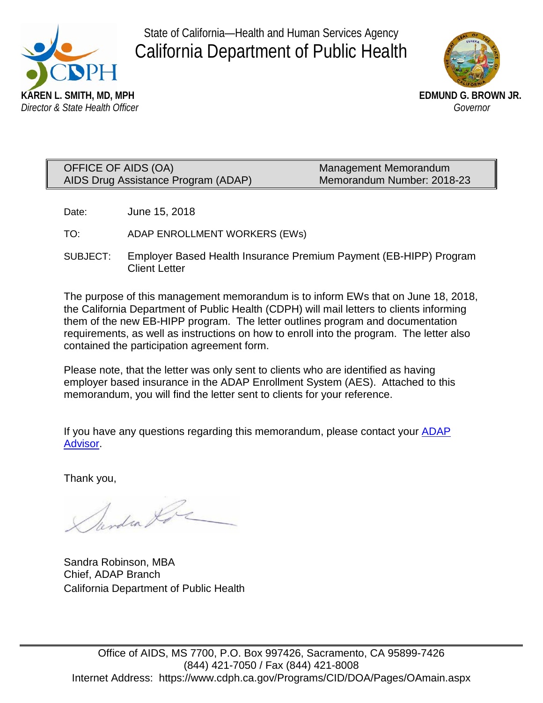

State of California—Health and Human Services Agency California Department of Public Health



OFFICE OF AIDS (OA) Management Memorandum AIDS Drug Assistance Program (ADAP) Memorandum Number: 2018-23

Date: June 15, 2018

TO: ADAP ENROLLMENT WORKERS (EWs)

SUBJECT: Employer Based Health Insurance Premium Payment (EB-HIPP) Program Client Letter

The purpose of this management memorandum is to inform EWs that on June 18, 2018, the California Department of Public Health (CDPH) will mail letters to clients informing them of the new EB-HIPP program. The letter outlines program and documentation requirements, as well as instructions on how to enroll into the program. The letter also contained the participation agreement form.

Please note, that the letter was only sent to clients who are identified as having employer based insurance in the ADAP Enrollment System (AES). Attached to this memorandum, you will find the letter sent to clients for your reference.

If you have any questions regarding this memorandum, please contact your **ADAP** [Advisor.](https://www.cdph.ca.gov/Programs/CID/DOA/CDPH%20Document%20Library/ADAP%20Enrollment%20Site%20Staff%20Assignment%20(Rev%20Feb.%202018).pdf)

Thank you,

Mendra Ko

Sandra Robinson, MBA Chief, ADAP Branch California Department of Public Health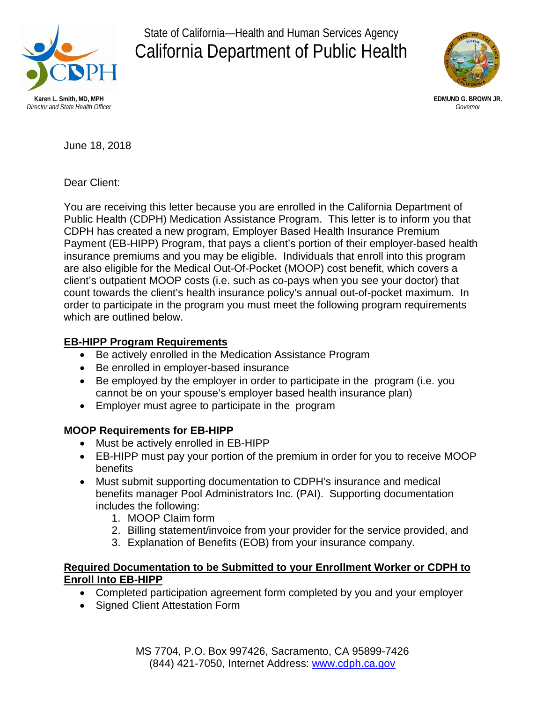

State of California—Health and Human Services Agency California Department of Public Health



**EDMUND G. BROWN JR.** *Governor*

June 18, 2018

Dear Client:

You are receiving this letter because you are enrolled in the California Department of Public Health (CDPH) Medication Assistance Program. This letter is to inform you that CDPH has created a new program, Employer Based Health Insurance Premium Payment (EB-HIPP) Program, that pays a client's portion of their employer-based health insurance premiums and you may be eligible. Individuals that enroll into this program are also eligible for the Medical Out-Of-Pocket (MOOP) cost benefit, which covers a client's outpatient MOOP costs (i.e. such as co-pays when you see your doctor) that count towards the client's health insurance policy's annual out-of-pocket maximum. In order to participate in the program you must meet the following program requirements which are outlined below.

#### **EB-HIPP Program Requirements**

- Be actively enrolled in the Medication Assistance Program
- Be enrolled in employer-based insurance
- Be employed by the employer in order to participate in the program (i.e. you cannot be on your spouse's employer based health insurance plan)
- Employer must agree to participate in the program

## **MOOP Requirements for EB-HIPP**

- Must be actively enrolled in EB-HIPP
- EB-HIPP must pay your portion of the premium in order for you to receive MOOP benefits
- Must submit supporting documentation to CDPH's insurance and medical benefits manager Pool Administrators Inc. (PAI). Supporting documentation includes the following:
	- 1. MOOP Claim form
	- 2. Billing statement/invoice from your provider for the service provided, and
	- 3. Explanation of Benefits (EOB) from your insurance company.

#### **Required Documentation to be Submitted to your Enrollment Worker or CDPH to Enroll Into EB-HIPP**

- Completed participation agreement form completed by you and your employer
- Signed Client Attestation Form